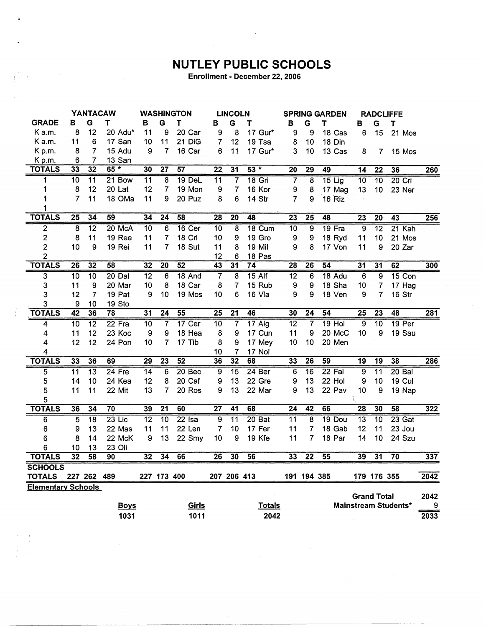## **NUTLEY PUBLIC SCHOOLS**

Enrollment - December 22, 2006

|                           | <b>YANTACAW</b> |                 |               |                 | <b>WASHINGTON</b> |                   | <b>LINCOLN</b>  |                 | <b>SPRING GARDEN</b> |                 |                 | <b>RADCLIFFE</b> |                 |                    |                             |                  |
|---------------------------|-----------------|-----------------|---------------|-----------------|-------------------|-------------------|-----------------|-----------------|----------------------|-----------------|-----------------|------------------|-----------------|--------------------|-----------------------------|------------------|
| <b>GRADE</b>              | в               | G               | Т             | в               | G                 | T                 | в               | G               | т                    | в               | G               | т                | в               | G                  | T                           |                  |
| Ka.m.                     | 8               | 12              | 20 Adu*       | 11              | 9                 | 20 Car            | 9               | 8               | 17 Gur*              | 9               | 9               | 18 Cas           | 6               | 15                 | 21 Mos                      |                  |
| K a.m.                    | 11              | 6               | 17 San        | 10              | 11                | 21 DiG            | $\overline{7}$  | 12              | 19 Tsa               | 8               | 10              | 18 Din           |                 |                    |                             |                  |
| Kp.m.                     | 8               | 7               | 15 Adu        | 9               | 7                 | 16 Car            | 6               | 11              | 17 Gur*              | 3               | 10              | 13 Cas           | 8               | 7                  | 15 Mos                      |                  |
| Kp.m.                     | 6               | $\overline{7}$  | 13 San        |                 |                   |                   |                 |                 |                      |                 |                 |                  |                 |                    |                             |                  |
| <b>TOTALS</b>             | 33              | 32              | $\star$<br>65 | 30              | $\overline{27}$   | $\overline{57}$   | $\overline{22}$ | $\overline{31}$ | $53 *$               | $\overline{20}$ | 29              | 49               | 14              | $\overline{22}$    | 36                          | 260              |
| 1                         | $\overline{10}$ | $\overline{11}$ | 21 Bow        | $\overline{11}$ | 8                 | 19 DeL            | $\overline{11}$ | $\overline{7}$  | $18$ Gri             | 7               | $\overline{8}$  | $15$ Lig         | $\overline{10}$ | $\overline{10}$    | 20 Cri                      |                  |
| 1                         | 8               | 12              | 20 Lat        | 12              | $\overline{7}$    | 19 Mon            | 9               | $\overline{7}$  | 16 Kor               | 9               | 8               | 17 Mag           | 13              | 10                 | 23 Ner                      |                  |
| 1                         | $\overline{7}$  | 11              | 18 OMa        | 11              | 9                 | 20 Puz            | 8               | 6               | 14 Str               | $\overline{7}$  | 9               | 16 Riz           |                 |                    |                             |                  |
| 1                         |                 |                 |               |                 |                   |                   |                 |                 |                      |                 |                 |                  |                 |                    |                             |                  |
| <b>TOTALS</b>             | $\overline{25}$ | 34              | 59            | 34              | $\overline{24}$   | 58                | $\overline{28}$ | $\overline{20}$ | 48                   | 23              | $\overline{25}$ | 48               | 23              | 20                 | 43                          | 256              |
| $\overline{2}$            | $\overline{8}$  | $\overline{12}$ | 20 McA        | 10              | 6                 | 16 Cer            | 10              | 8               | 18 Cum               | $\overline{10}$ | 9               | 19 Fra           | 9               | $\overline{12}$    | 21 Kah                      |                  |
| $\overline{\mathbf{c}}$   | 8               | 11              | 19 Ree        | 11              | $\overline{7}$    | 18 Cri            | 10              | 9               | 19 Gro               | 9               | 9               | 18 Ryd           | 11              | 10                 | 21 Mos                      |                  |
| $\overline{2}$            | 10              | 9               | 19 Rei        | 11              | 7                 | 18 Sut            | 11              | 8               | 19 Mil               | 9               | 8               | 17 Von           | 11              | 9                  | 20 Zar                      |                  |
| $\overline{2}$            |                 |                 |               |                 |                   |                   | 12              | 6               | 18 Pas               |                 |                 |                  |                 |                    |                             |                  |
| <b>TOTALS</b>             | $\overline{26}$ | $\overline{32}$ | 58            | 32              | $\overline{20}$   | 52                | 43              | $\overline{31}$ | 74                   | 28              | $\overline{26}$ | 54               | $\overline{31}$ | $\overline{31}$    | 62                          | 300              |
| $\overline{3}$            | $\overline{10}$ | $\overline{10}$ | $20$ Dal      | $\overline{12}$ | $\overline{6}$    | 18 And            | 7               | $\overline{8}$  | $15$ Alf             | $\overline{12}$ | $\overline{6}$  | 18 Adu           | $\overline{6}$  | ढ़                 | 15 Con                      |                  |
| 3                         | 11              | 9               | 20 Mar        | 10              | 8                 | 18 Car            | 8               | $\overline{7}$  | 15 Rub               | 9               | 9               | 18 Sha           | 10              | 7                  | 17 Hag                      |                  |
| 3                         | 12              | $\overline{7}$  | 19 Pat        | 9               | 10                | 19 Mos            | 10              | 6               | 16 Vla               | 9               | 9               | 18 Ven           | 9               | $\overline{7}$     | 16 Str                      |                  |
| 3                         | 9               | 10              | 19 Sto        |                 |                   |                   |                 |                 |                      |                 |                 |                  |                 |                    |                             |                  |
| <b>TOTALS</b>             | $\overline{42}$ | 36              | 78            | $\overline{31}$ | $\overline{24}$   | 55                | $\overline{25}$ | $\overline{21}$ | 46                   | 30              | $\overline{24}$ | $\overline{54}$  | $\overline{25}$ | $\overline{23}$    | 48                          | 281              |
| 4                         | $\overline{10}$ | $\overline{12}$ | $22$ Fra      | 10              | 7                 | $17$ Cer          | $\overline{10}$ | 7               | $17$ Alg             | $\overline{12}$ | $\overline{7}$  | $19$ Hol         | $\overline{9}$  | 10                 | 19 Per                      |                  |
| 4                         | 11              | 12              | 23 Koc        | 9               | 9                 | 18 Hea            | 8               | 9               | 17 Cun               | 11              | 9               | 20 McC           | 10              | 9                  | 19 Sau                      |                  |
| 4                         | 12              | 12              | 24 Pon        | 10              | 7                 | 17 Tib            | 8               | 9               | 17 Mey               | 10              | 10              | 20 Men           |                 |                    |                             |                  |
| 4                         |                 |                 |               |                 |                   |                   | 10              | 7               | 17 Nol               |                 |                 |                  |                 |                    |                             |                  |
| <b>TOTALS</b>             | 33              | 36              | 69            | $\overline{29}$ | $\overline{23}$   | 52                | 36              | 32              | 68                   | 33              | $\overline{26}$ | 59               | $\overline{19}$ | $\overline{19}$    | 38                          | 286              |
| $\overline{5}$            | $\overline{11}$ | $\overline{13}$ | $24$ Fre      | $\overline{14}$ | 6                 | 20 <sub>Bec</sub> | 9               | $\overline{15}$ | 24 <sub>Ber</sub>    | 6               | $\overline{16}$ | $22$ Fal         | $\overline{9}$  | $\overline{11}$    | $20B$ al                    |                  |
| 5                         | 14              | 10              | 24 Kea        | 12              | 8                 | 20 Caf            | 9               | 13              | 22 Gre               | 9               | 13              | 22 Hol           | 9               | 10                 | 19 Cul                      |                  |
| 5                         | 11              | 11              | 22 Mit        | 13              | 7                 | 20 Ros            | 9               | 13              | 22 Mar               | 9               | 13              | 22 Pav           | 10              | 9                  | 19 Nap                      |                  |
| 5                         |                 |                 |               |                 |                   |                   |                 |                 |                      |                 |                 |                  |                 |                    |                             |                  |
| <b>TOTALS</b>             | 36              | 34              | 70            | 39              | $\overline{21}$   | 60                | $\overline{27}$ | $\overline{41}$ | 68                   | $\overline{24}$ | 42              | 66               | $\overline{28}$ | 30                 | $\overline{58}$             | 322              |
| 6                         | $\overline{5}$  | $\overline{18}$ | $23$ Lic      | $\overline{12}$ | $\overline{10}$   | $22$ Isa          | $\overline{9}$  | $\overline{11}$ | 20 Bat               | $\overline{11}$ | 8               | 19 Dou           | $\overline{13}$ | $\overline{10}$    | $23$ Gat                    |                  |
| 6                         | 9               | 13              | 22 Mas        | 11              | 11                | 22 Len            | 7               | 10              | 17 Fer               | 11              | 7               | 18 Gab           | 12              | 11                 | 23 Jou                      |                  |
| 6                         | 8               | 14              | 22 McK        | 9               | 13                | 22 Smy            | 10              | 9               | 19 Kfe               | 11              | 7               | 18 Par           | 14              | 10                 | 24 Szu                      |                  |
| 6                         | 10              | 13              | 23 Oli        |                 |                   |                   |                 |                 |                      |                 |                 |                  |                 |                    |                             |                  |
| <b>TOTALS</b>             | $\overline{32}$ | 58              | 90            | 32              | $\overline{34}$   | 66                | $\overline{26}$ | 30              | 56                   | 33              | $\overline{22}$ | $\overline{55}$  | 39              | $\overline{31}$    | $\overline{70}$             | 337              |
| <b>SCHOOLS</b>            |                 |                 |               |                 |                   |                   |                 |                 |                      |                 |                 |                  |                 |                    |                             |                  |
| <b>TOTALS</b>             |                 | 227 262 489     |               |                 | 227 173 400       |                   |                 |                 | 207 206 413          |                 | 191 194 385     |                  |                 | 179 176 355        |                             | 2042             |
| <b>Elementary Schools</b> |                 |                 |               |                 |                   |                   |                 |                 |                      |                 |                 |                  |                 |                    |                             |                  |
|                           |                 |                 |               |                 |                   |                   |                 |                 |                      |                 |                 |                  |                 | <b>Grand Total</b> |                             | 2042             |
|                           |                 |                 | <b>Boys</b>   |                 |                   | Girls             |                 |                 | <b>Totals</b>        |                 |                 |                  |                 |                    | <b>Mainstream Students*</b> | 9                |
|                           |                 |                 | 1031          |                 |                   | 1011              |                 |                 | 2042                 |                 |                 |                  |                 |                    |                             | $\frac{1}{2033}$ |